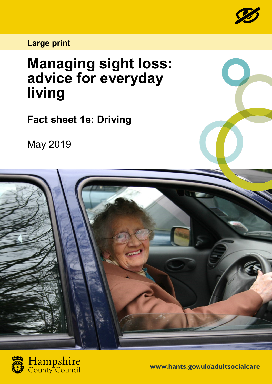

## **Large print**

## **Managing sight loss: advice for everyday living**

**Fact sheet 1e: Driving**

May 2019





**www.hants.gov.uk/adultsocialcare**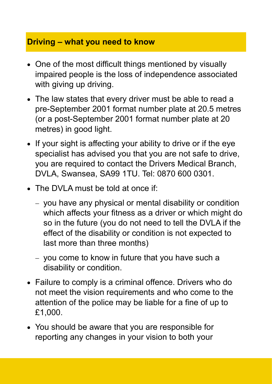## **Driving – what you need to know**

- One of the most difficult things mentioned by visually impaired people is the loss of independence associated with giving up driving.
- The law states that every driver must be able to read a pre-September 2001 format number plate at 20.5 metres (or a post-September 2001 format number plate at 20 metres) in good light.
- If your sight is affecting your ability to drive or if the eye specialist has advised you that you are not safe to drive, you are required to contact the Drivers Medical Branch, DVLA, Swansea, SA99 1TU. Tel: 0870 600 0301.
- The DVLA must be told at once if:
	- − you have any physical or mental disability or condition which affects your fitness as a driver or which might do so in the future (you do not need to tell the DVLA if the effect of the disability or condition is not expected to last more than three months)
	- − you come to know in future that you have such a disability or condition.
- Failure to comply is a criminal offence. Drivers who do not meet the vision requirements and who come to the attention of the police may be liable for a fine of up to £1,000.
- You should be aware that you are responsible for reporting any changes in your vision to both your